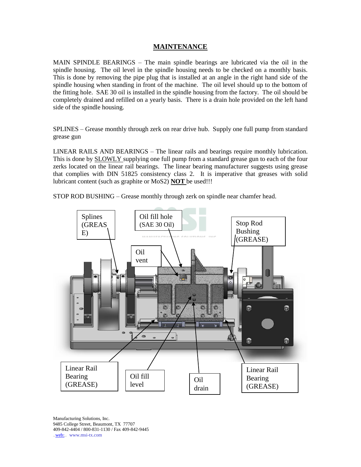## **MAINTENANCE**

MAIN SPINDLE BEARINGS – The main spindle bearings are lubricated via the oil in the spindle housing. The oil level in the spindle housing needs to be checked on a monthly basis. This is done by removing the pipe plug that is installed at an angle in the right hand side of the spindle housing when standing in front of the machine. The oil level should up to the bottom of the fitting hole. SAE 30 oil is installed in the spindle housing from the factory. The oil should be completely drained and refilled on a yearly basis. There is a drain hole provided on the left hand side of the spindle housing.

SPLINES – Grease monthly through zerk on rear drive hub. Supply one full pump from standard grease gun

LINEAR RAILS AND BEARINGS – The linear rails and bearings require monthly lubrication. This is done by SLOWLY supplying one full pump from a standard grease gun to each of the four zerks located on the linear rail bearings. The linear bearing manufacturer suggests using grease that complies with DIN 51825 consistency class 2. It is imperative that greases with solid lubricant content (such as graphite or MoS2) **NOT** be used!!!

STOP ROD BUSHING – Grease monthly through zerk on spindle near chamfer head.

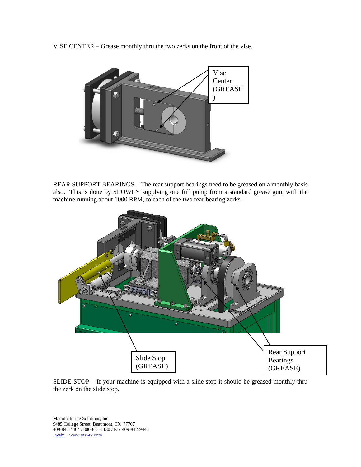VISE CENTER – Grease monthly thru the two zerks on the front of the vise.



REAR SUPPORT BEARINGS – The rear support bearings need to be greased on a monthly basis also. This is done by SLOWLY supplying one full pump from a standard grease gun, with the machine running about 1000 RPM, to each of the two rear bearing zerks.



SLIDE STOP – If your machine is equipped with a slide stop it should be greased monthly thru the zerk on the slide stop.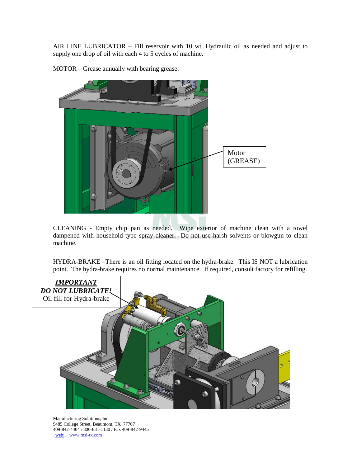AIR LINE LUBRICATOR – Fill reservoir with 10 wt. Hydraulic oil as needed and adjust to supply one drop of oil with each 4 to 5 cycles of machine.



MOTOR – Grease annually with bearing grease.

CLEANING - Empty chip pan as needed. Wipe exterior of machine clean with a towel dampened with household type spray cleaner. Do not use harsh solvents or blowgun to clean machine.

HYDRA-BRAKE –There is an oil fitting located on the hydra-brake. This IS NOT a lubrication point. The hydra-brake requires no normal maintenance. If required, consult factory for refilling.

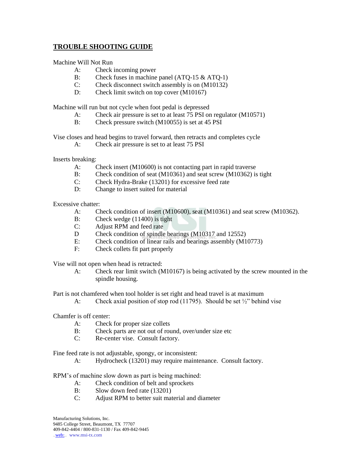## **TROUBLE SHOOTING GUIDE**

Machine Will Not Run

- A: Check incoming power
- B: Check fuses in machine panel (ATQ-15 & ATQ-1)
- C: Check disconnect switch assembly is on (M10132)
- D: Check limit switch on top cover (M10167)

Machine will run but not cycle when foot pedal is depressed

- A: Check air pressure is set to at least 75 PSI on regulator (M10571)
- B: Check pressure switch (M10055) is set at 45 PSI

Vise closes and head begins to travel forward, then retracts and completes cycle

A: Check air pressure is set to at least 75 PSI

Inserts breaking:

- A: Check insert (M10600) is not contacting part in rapid traverse
- B: Check condition of seat (M10361) and seat screw (M10362) is tight
- C: Check Hydra-Brake (13201) for excessive feed rate
- D: Change to insert suited for material

Excessive chatter:

- A: Check condition of insert (M10600), seat (M10361) and seat screw (M10362).
- B: Check wedge (11400) is tight
- C: Adjust RPM and feed rate
- D Check condition of spindle bearings (M10317 and 12552)
- E: Check condition of linear rails and bearings assembly (M10773)
- F: Check collets fit part properly

Vise will not open when head is retracted:

A: Check rear limit switch (M10167) is being activated by the screw mounted in the spindle housing.

Part is not chamfered when tool holder is set right and head travel is at maximum

A: Check axial position of stop rod (11795). Should be set 1/2" behind vise

Chamfer is off center:

- A: Check for proper size collets
- B: Check parts are not out of round, over/under size etc
- C: Re-center vise. Consult factory.

Fine feed rate is not adjustable, spongy, or inconsistent:

A: Hydrocheck (13201) may require maintenance. Consult factory.

RPM's of machine slow down as part is being machined:

- A: Check condition of belt and sprockets
- B: Slow down feed rate (13201)
- C: Adjust RPM to better suit material and diameter